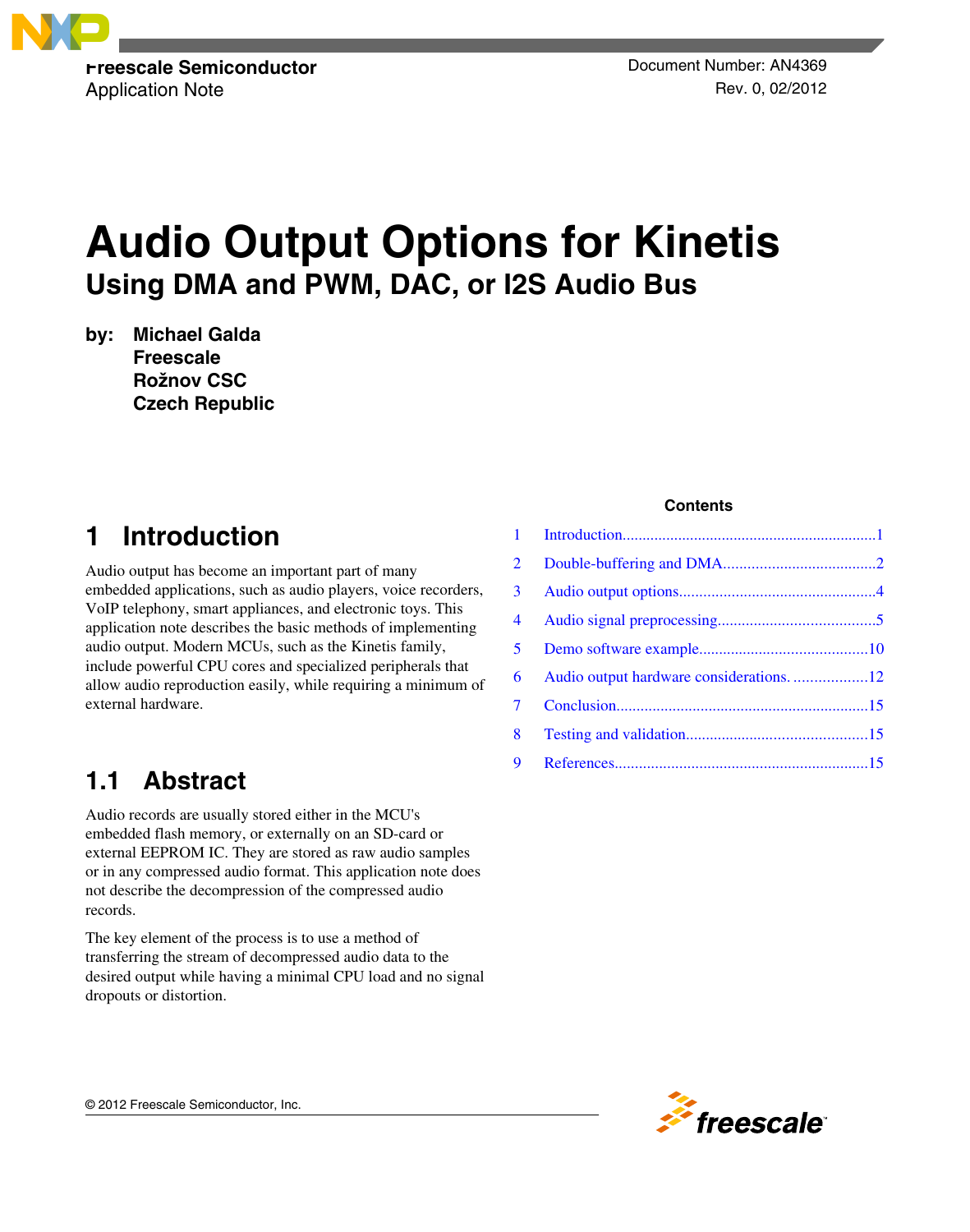

Application Note **Application** Note Rev. 0, 02/2012

# **Audio Output Options for Kinetis Using DMA and PWM, DAC, or I2S Audio Bus**

**by: Michael Galda Freescale Rožnov CSC Czech Republic**

# **1 Introduction**

Audio output has become an important part of many embedded applications, such as audio players, voice recorders, VoIP telephony, smart appliances, and electronic toys. This application note describes the basic methods of implementing audio output. Modern MCUs, such as the Kinetis family, include powerful CPU cores and specialized peripherals that allow audio reproduction easily, while requiring a minimum of external hardware.

### **1.1 Abstract**

Audio records are usually stored either in the MCU's embedded flash memory, or externally on an SD-card or external EEPROM IC. They are stored as raw audio samples or in any compressed audio format. This application note does not describe the decompression of the compressed audio records.

The key element of the process is to use a method of transferring the stream of decompressed audio data to the desired output while having a minimal CPU load and no signal dropouts or distortion.

### **Contents**

| $\overline{2}$ |                                          |  |
|----------------|------------------------------------------|--|
| 3 <sup>7</sup> |                                          |  |
| $\overline{4}$ |                                          |  |
| 5 <sup>1</sup> |                                          |  |
| 6              | Audio output hardware considerations. 12 |  |
| $\tau$         |                                          |  |
| 8              |                                          |  |
| 9              |                                          |  |

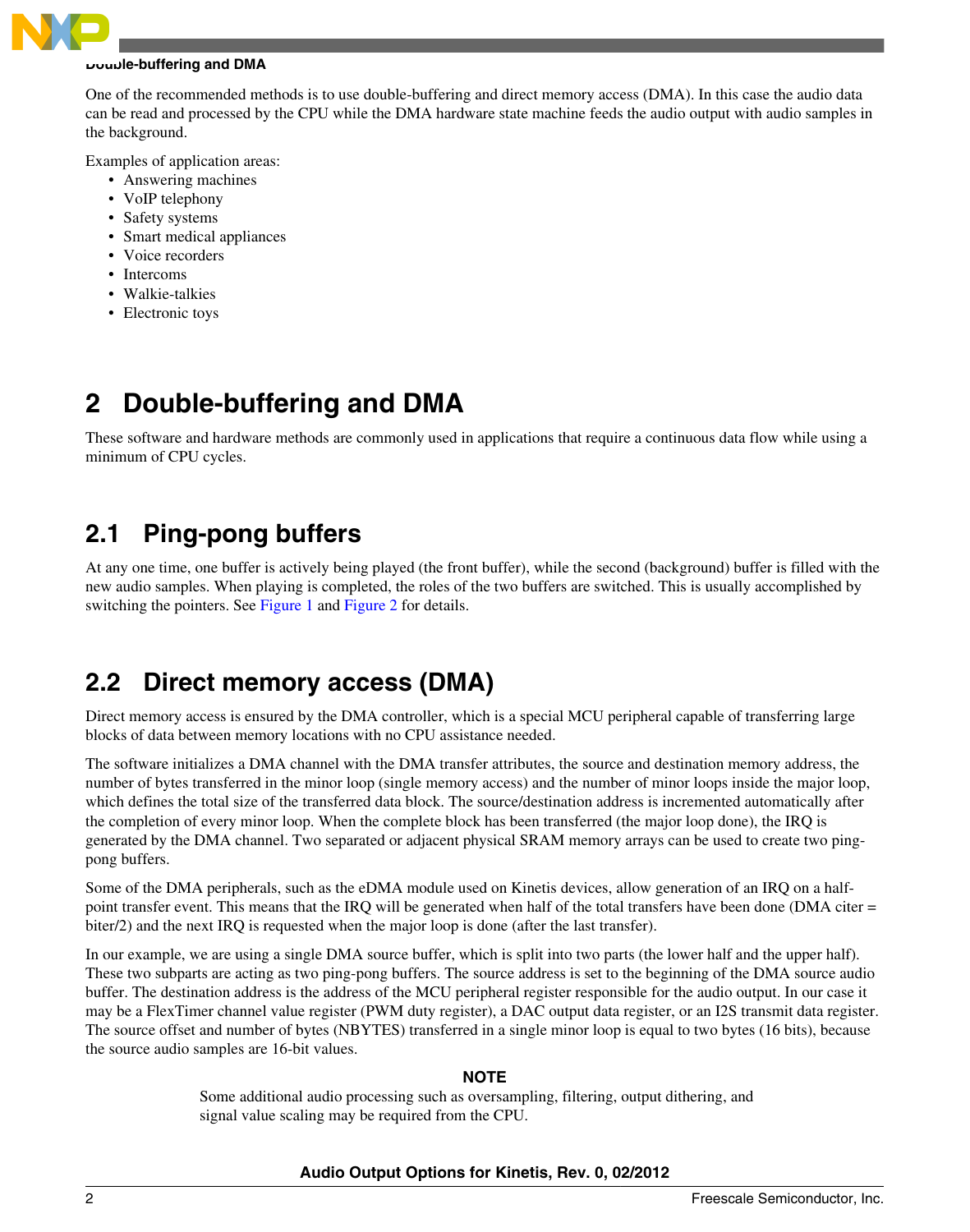<span id="page-1-0"></span>

#### **Double-buffering and DMA**

One of the recommended methods is to use double-buffering and direct memory access (DMA). In this case the audio data can be read and processed by the CPU while the DMA hardware state machine feeds the audio output with audio samples in the background.

Examples of application areas:

- Answering machines
- VoIP telephony
- Safety systems
- Smart medical appliances
- Voice recorders
- Intercoms
- Walkie-talkies
- Electronic toys

# **2 Double-buffering and DMA**

These software and hardware methods are commonly used in applications that require a continuous data flow while using a minimum of CPU cycles.

### **2.1 Ping-pong buffers**

At any one time, one buffer is actively being played (the front buffer), while the second (background) buffer is filled with the new audio samples. When playing is completed, the roles of the two buffers are switched. This is usually accomplished by switching the pointers. See [Figure 1](#page-2-0) and [Figure 2](#page-3-0) for details.

### **2.2 Direct memory access (DMA)**

Direct memory access is ensured by the DMA controller, which is a special MCU peripheral capable of transferring large blocks of data between memory locations with no CPU assistance needed.

The software initializes a DMA channel with the DMA transfer attributes, the source and destination memory address, the number of bytes transferred in the minor loop (single memory access) and the number of minor loops inside the major loop, which defines the total size of the transferred data block. The source/destination address is incremented automatically after the completion of every minor loop. When the complete block has been transferred (the major loop done), the IRQ is generated by the DMA channel. Two separated or adjacent physical SRAM memory arrays can be used to create two pingpong buffers.

Some of the DMA peripherals, such as the eDMA module used on Kinetis devices, allow generation of an IRQ on a halfpoint transfer event. This means that the IRQ will be generated when half of the total transfers have been done (DMA citer = biter/2) and the next IRQ is requested when the major loop is done (after the last transfer).

In our example, we are using a single DMA source buffer, which is split into two parts (the lower half and the upper half). These two subparts are acting as two ping-pong buffers. The source address is set to the beginning of the DMA source audio buffer. The destination address is the address of the MCU peripheral register responsible for the audio output. In our case it may be a FlexTimer channel value register (PWM duty register), a DAC output data register, or an I2S transmit data register. The source offset and number of bytes (NBYTES) transferred in a single minor loop is equal to two bytes (16 bits), because the source audio samples are 16-bit values.

### **NOTE**

Some additional audio processing such as oversampling, filtering, output dithering, and signal value scaling may be required from the CPU.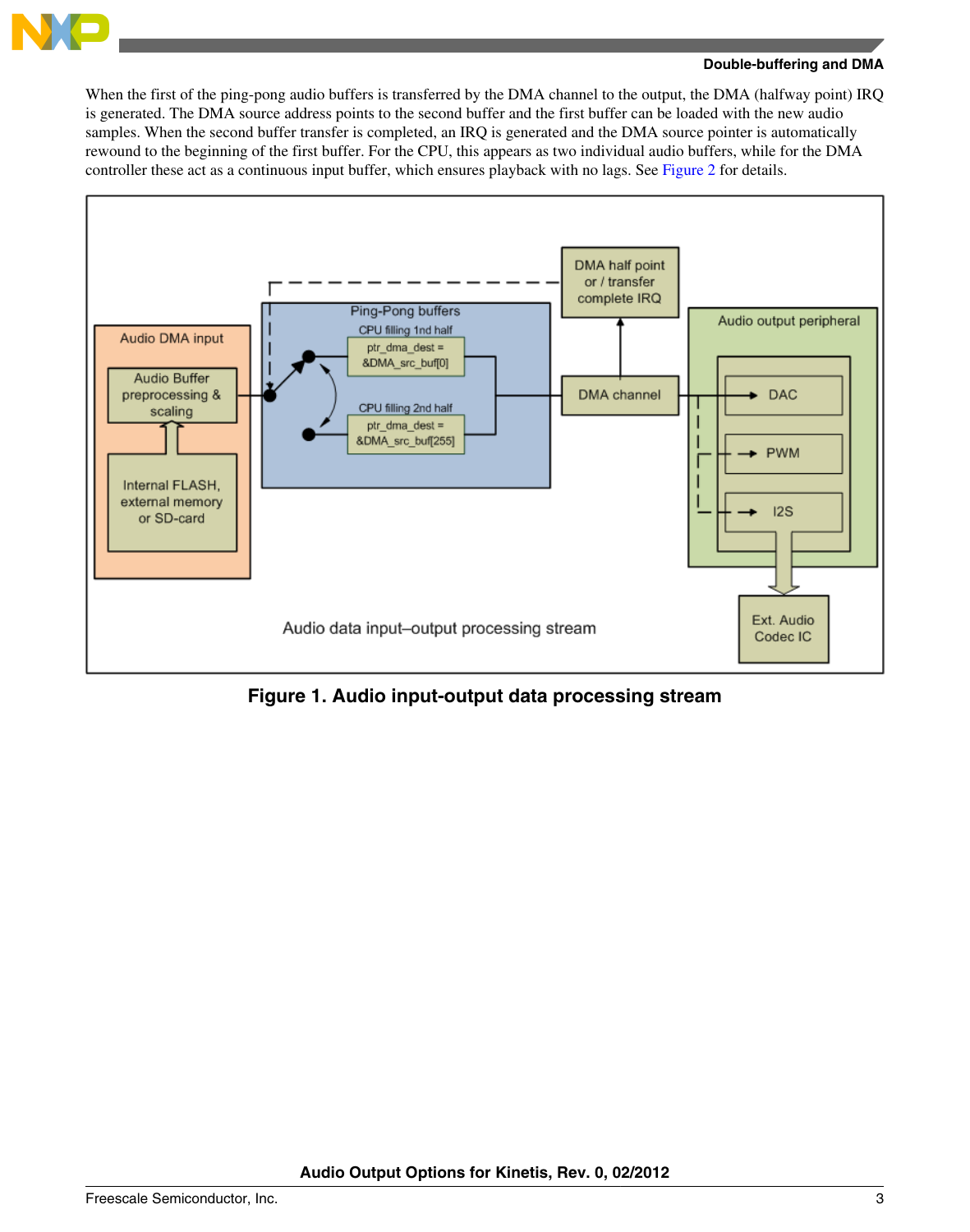<span id="page-2-0"></span>

#### **Double-buffering and DMA**

When the first of the ping-pong audio buffers is transferred by the DMA channel to the output, the DMA (halfway point) IRQ is generated. The DMA source address points to the second buffer and the first buffer can be loaded with the new audio samples. When the second buffer transfer is completed, an IRQ is generated and the DMA source pointer is automatically rewound to the beginning of the first buffer. For the CPU, this appears as two individual audio buffers, while for the DMA controller these act as a continuous input buffer, which ensures playback with no lags. See [Figure 2](#page-3-0) for details.



**Figure 1. Audio input-output data processing stream**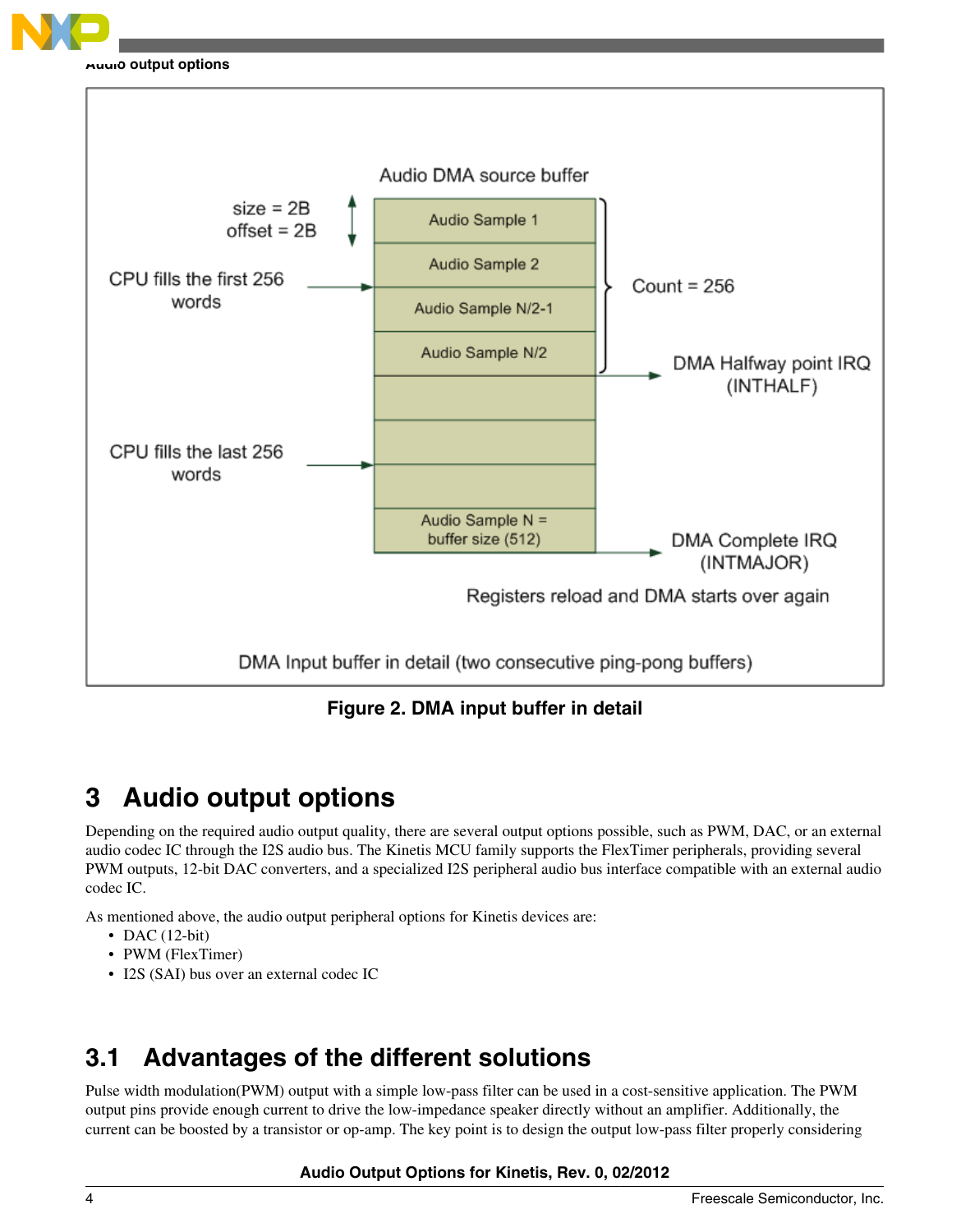<span id="page-3-0"></span>

#### **Audio output options**



**Figure 2. DMA input buffer in detail**

# **3 Audio output options**

Depending on the required audio output quality, there are several output options possible, such as PWM, DAC, or an external audio codec IC through the I2S audio bus. The Kinetis MCU family supports the FlexTimer peripherals, providing several PWM outputs, 12-bit DAC converters, and a specialized I2S peripheral audio bus interface compatible with an external audio codec IC.

As mentioned above, the audio output peripheral options for Kinetis devices are:

- DAC  $(12-bit)$
- PWM (FlexTimer)
- I2S (SAI) bus over an external codec IC

# **3.1 Advantages of the different solutions**

Pulse width modulation(PWM) output with a simple low-pass filter can be used in a cost-sensitive application. The PWM output pins provide enough current to drive the low-impedance speaker directly without an amplifier. Additionally, the current can be boosted by a transistor or op-amp. The key point is to design the output low-pass filter properly considering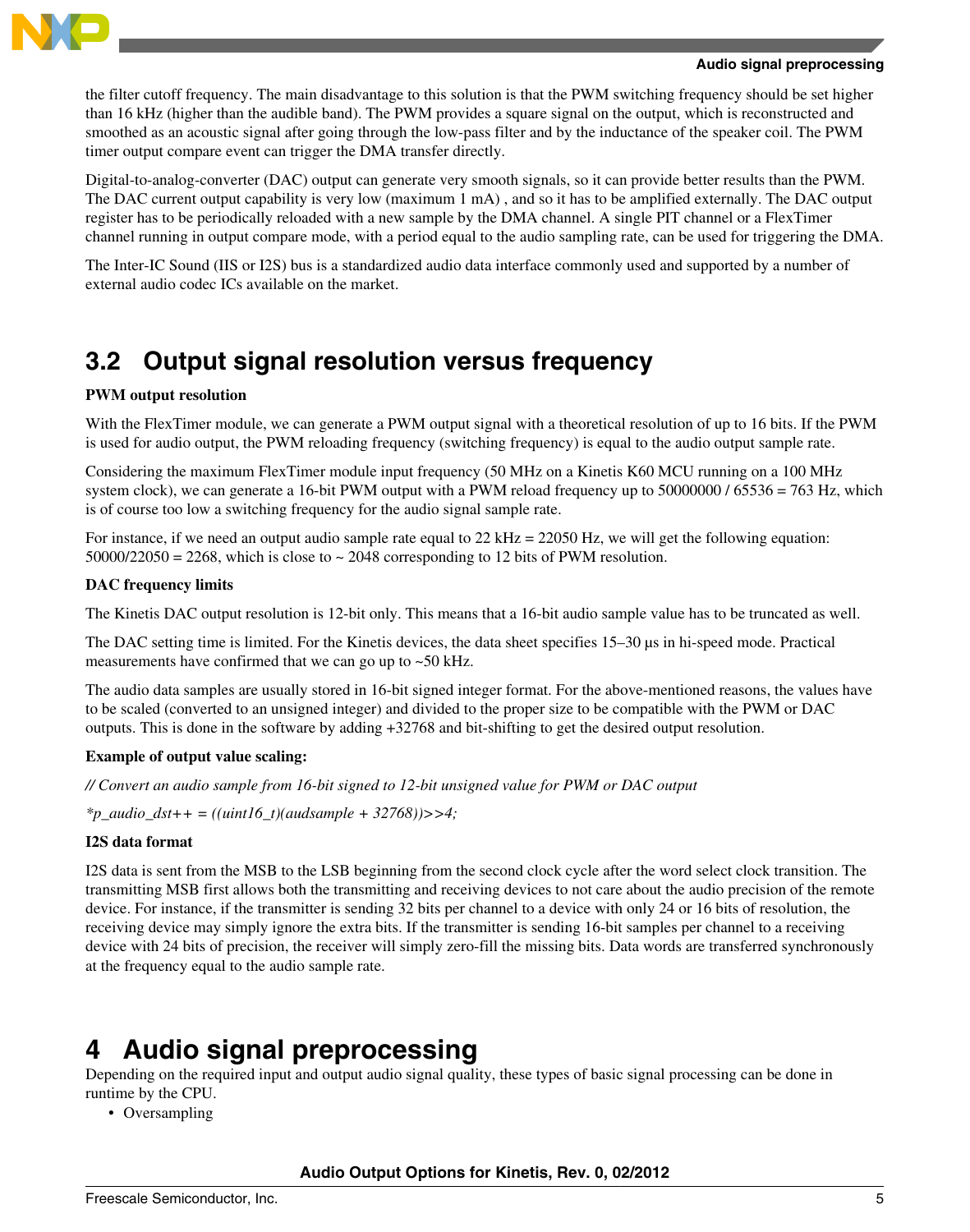<span id="page-4-0"></span>

#### **Audio signal preprocessing**

the filter cutoff frequency. The main disadvantage to this solution is that the PWM switching frequency should be set higher than 16 kHz (higher than the audible band). The PWM provides a square signal on the output, which is reconstructed and smoothed as an acoustic signal after going through the low-pass filter and by the inductance of the speaker coil. The PWM timer output compare event can trigger the DMA transfer directly.

Digital-to-analog-converter (DAC) output can generate very smooth signals, so it can provide better results than the PWM. The DAC current output capability is very low (maximum 1 mA) , and so it has to be amplified externally. The DAC output register has to be periodically reloaded with a new sample by the DMA channel. A single PIT channel or a FlexTimer channel running in output compare mode, with a period equal to the audio sampling rate, can be used for triggering the DMA.

The Inter-IC Sound (IIS or I2S) bus is a standardized audio data interface commonly used and supported by a number of external audio codec ICs available on the market.

### **3.2 Output signal resolution versus frequency**

#### **PWM output resolution**

With the FlexTimer module, we can generate a PWM output signal with a theoretical resolution of up to 16 bits. If the PWM is used for audio output, the PWM reloading frequency (switching frequency) is equal to the audio output sample rate.

Considering the maximum FlexTimer module input frequency (50 MHz on a Kinetis K60 MCU running on a 100 MHz system clock), we can generate a 16-bit PWM output with a PWM reload frequency up to 50000000 / 65536 = 763 Hz, which is of course too low a switching frequency for the audio signal sample rate.

For instance, if we need an output audio sample rate equal to  $22 \text{ kHz} = 22050 \text{ Hz}$ , we will get the following equation:  $50000/22050 = 2268$ , which is close to  $\sim 2048$  corresponding to 12 bits of PWM resolution.

#### **DAC frequency limits**

The Kinetis DAC output resolution is 12-bit only. This means that a 16-bit audio sample value has to be truncated as well.

The DAC setting time is limited. For the Kinetis devices, the data sheet specifies 15–30  $\mu$ s in hi-speed mode. Practical measurements have confirmed that we can go up to ~50 kHz.

The audio data samples are usually stored in 16-bit signed integer format. For the above-mentioned reasons, the values have to be scaled (converted to an unsigned integer) and divided to the proper size to be compatible with the PWM or DAC outputs. This is done in the software by adding +32768 and bit-shifting to get the desired output resolution.

#### **Example of output value scaling:**

*// Convert an audio sample from 16-bit signed to 12-bit unsigned value for PWM or DAC output*

*\*p\_audio\_dst++ = ((uint16\_t)(audsample + 32768))>>4;*

#### **I2S data format**

I2S data is sent from the MSB to the LSB beginning from the second clock cycle after the word select clock transition. The transmitting MSB first allows both the transmitting and receiving devices to not care about the audio precision of the remote device. For instance, if the transmitter is sending 32 bits per channel to a device with only 24 or 16 bits of resolution, the receiving device may simply ignore the extra bits. If the transmitter is sending 16-bit samples per channel to a receiving device with 24 bits of precision, the receiver will simply zero-fill the missing bits. Data words are transferred synchronously at the frequency equal to the audio sample rate.

### **4 Audio signal preprocessing**

Depending on the required input and output audio signal quality, these types of basic signal processing can be done in runtime by the CPU.

• Oversampling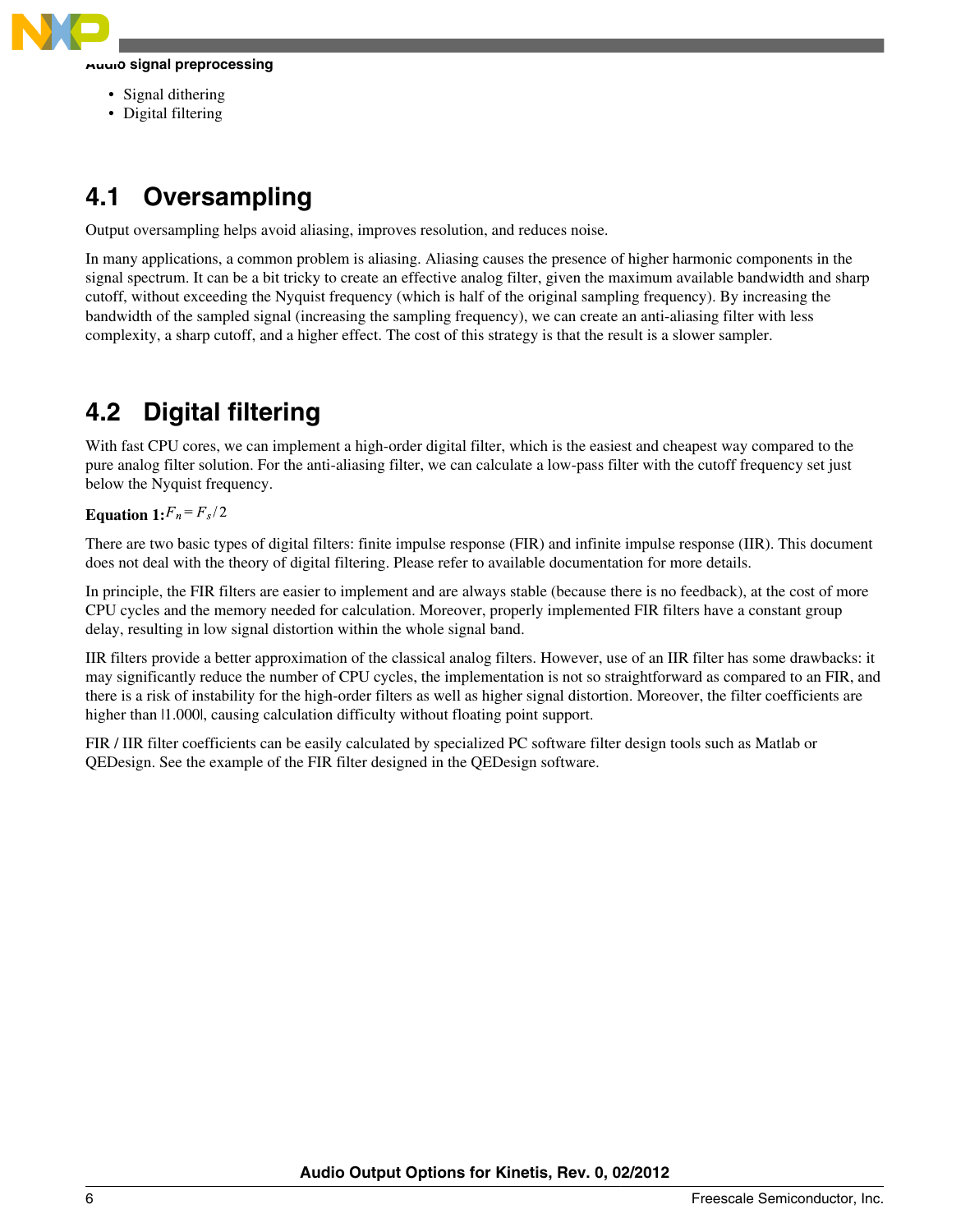

#### **Audio signal preprocessing**

- Signal dithering
- Digital filtering

# **4.1 Oversampling**

Output oversampling helps avoid aliasing, improves resolution, and reduces noise.

In many applications, a common problem is aliasing. Aliasing causes the presence of higher harmonic components in the signal spectrum. It can be a bit tricky to create an effective analog filter, given the maximum available bandwidth and sharp cutoff, without exceeding the Nyquist frequency (which is half of the original sampling frequency). By increasing the bandwidth of the sampled signal (increasing the sampling frequency), we can create an anti-aliasing filter with less complexity, a sharp cutoff, and a higher effect. The cost of this strategy is that the result is a slower sampler.

### **4.2 Digital filtering**

With fast CPU cores, we can implement a high-order digital filter, which is the easiest and cheapest way compared to the pure analog filter solution. For the anti-aliasing filter, we can calculate a low-pass filter with the cutoff frequency set just below the Nyquist frequency.

### **Equation 1:** $F_n = F_s/2$

There are two basic types of digital filters: finite impulse response (FIR) and infinite impulse response (IIR). This document does not deal with the theory of digital filtering. Please refer to available documentation for more details.

In principle, the FIR filters are easier to implement and are always stable (because there is no feedback), at the cost of more CPU cycles and the memory needed for calculation. Moreover, properly implemented FIR filters have a constant group delay, resulting in low signal distortion within the whole signal band.

IIR filters provide a better approximation of the classical analog filters. However, use of an IIR filter has some drawbacks: it may significantly reduce the number of CPU cycles, the implementation is not so straightforward as compared to an FIR, and there is a risk of instability for the high-order filters as well as higher signal distortion. Moreover, the filter coefficients are higher than  $|1.000|$ , causing calculation difficulty without floating point support.

FIR / IIR filter coefficients can be easily calculated by specialized PC software filter design tools such as Matlab or QEDesign. See the example of the FIR filter designed in the QEDesign software.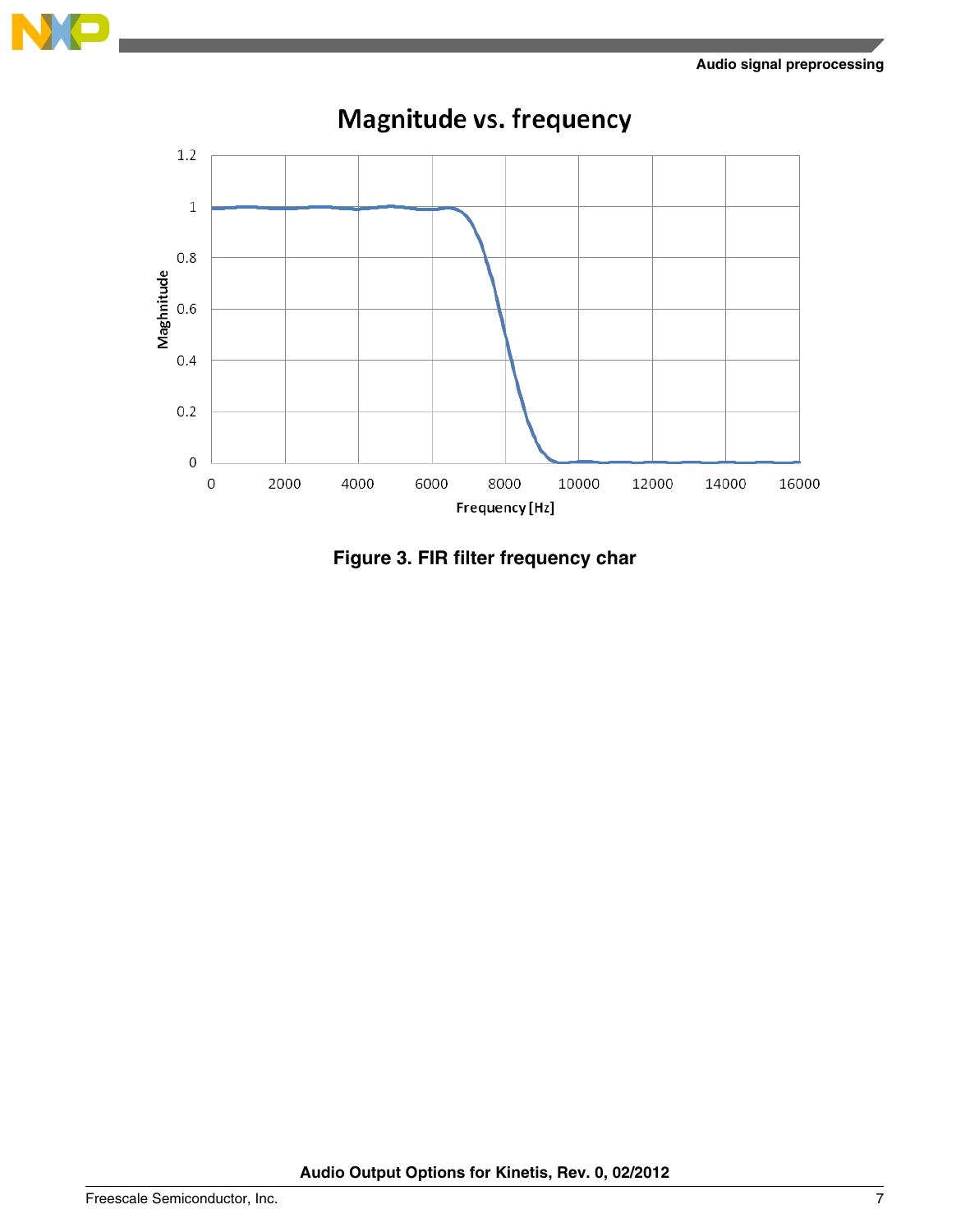



**Figure 3. FIR filter frequency char**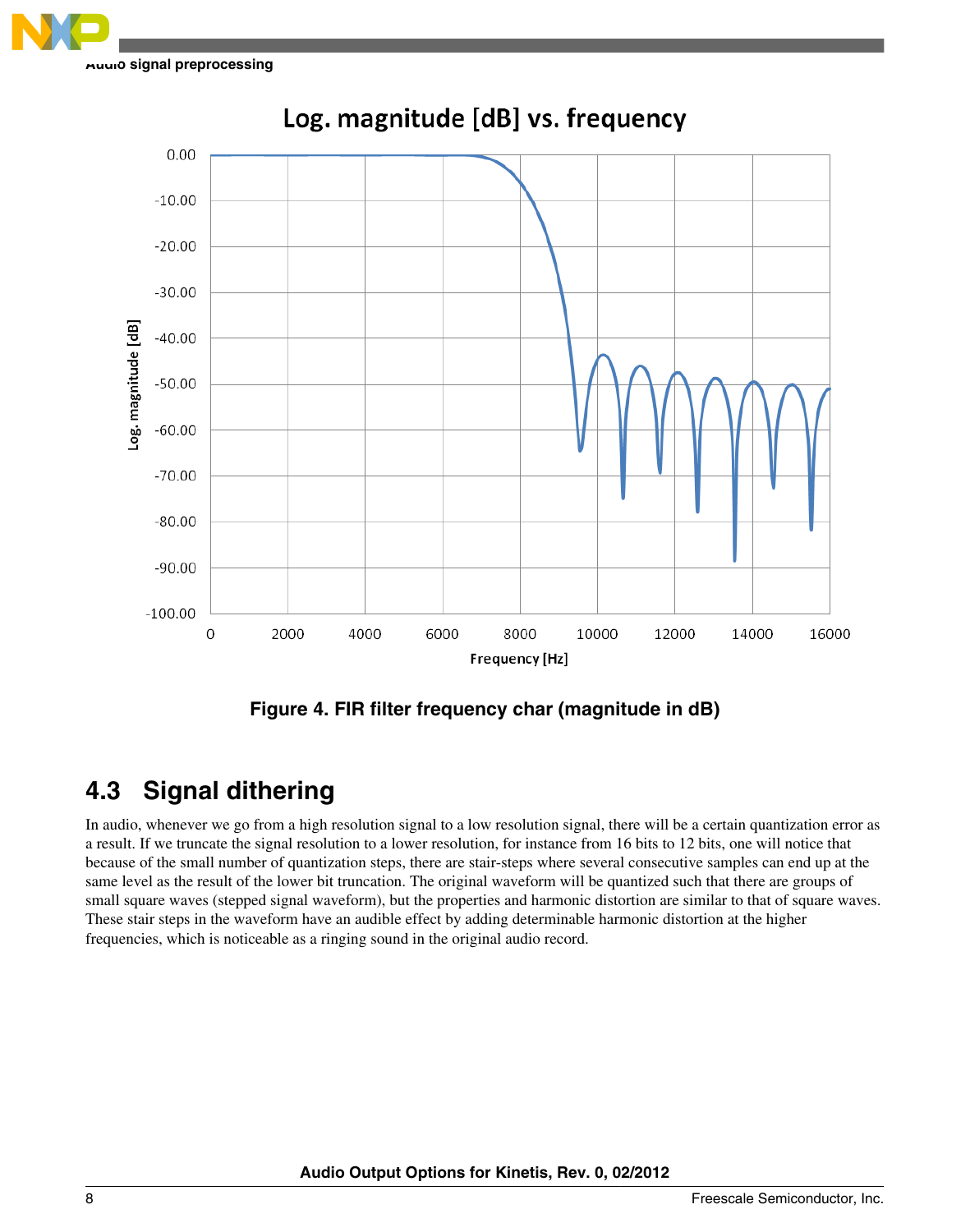



Log. magnitude [dB] vs. frequency

**Figure 4. FIR filter frequency char (magnitude in dB)**

# **4.3 Signal dithering**

In audio, whenever we go from a high resolution signal to a low resolution signal, there will be a certain quantization error as a result. If we truncate the signal resolution to a lower resolution, for instance from 16 bits to 12 bits, one will notice that because of the small number of quantization steps, there are stair-steps where several consecutive samples can end up at the same level as the result of the lower bit truncation. The original waveform will be quantized such that there are groups of small square waves (stepped signal waveform), but the properties and harmonic distortion are similar to that of square waves. These stair steps in the waveform have an audible effect by adding determinable harmonic distortion at the higher frequencies, which is noticeable as a ringing sound in the original audio record.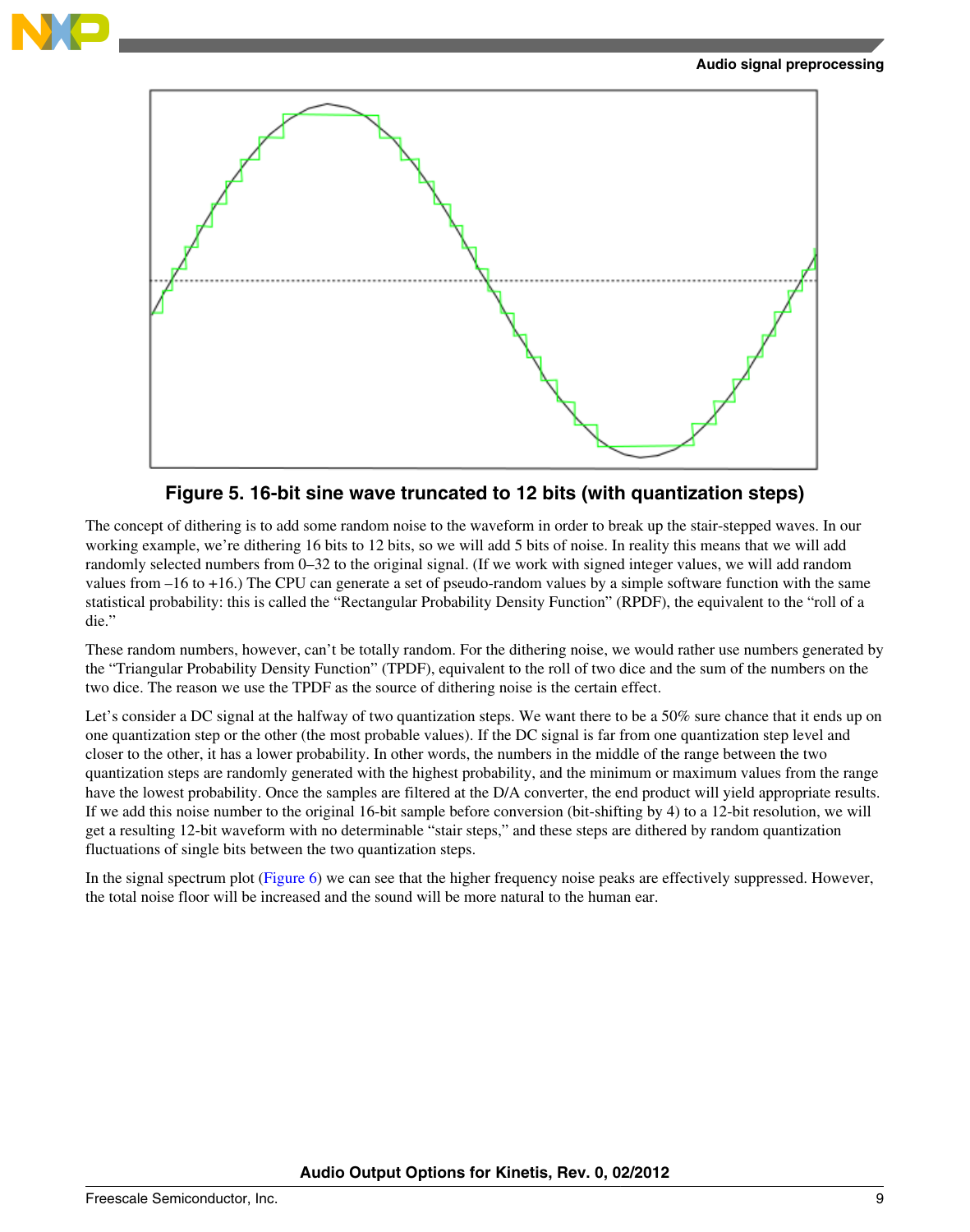

#### **Audio signal preprocessing**



**Figure 5. 16-bit sine wave truncated to 12 bits (with quantization steps)**

The concept of dithering is to add some random noise to the waveform in order to break up the stair-stepped waves. In our working example, we're dithering 16 bits to 12 bits, so we will add 5 bits of noise. In reality this means that we will add randomly selected numbers from 0–32 to the original signal. (If we work with signed integer values, we will add random values from –16 to +16.) The CPU can generate a set of pseudo-random values by a simple software function with the same statistical probability: this is called the "Rectangular Probability Density Function" (RPDF), the equivalent to the "roll of a die."

These random numbers, however, can't be totally random. For the dithering noise, we would rather use numbers generated by the "Triangular Probability Density Function" (TPDF), equivalent to the roll of two dice and the sum of the numbers on the two dice. The reason we use the TPDF as the source of dithering noise is the certain effect.

Let's consider a DC signal at the halfway of two quantization steps. We want there to be a 50% sure chance that it ends up on one quantization step or the other (the most probable values). If the DC signal is far from one quantization step level and closer to the other, it has a lower probability. In other words, the numbers in the middle of the range between the two quantization steps are randomly generated with the highest probability, and the minimum or maximum values from the range have the lowest probability. Once the samples are filtered at the D/A converter, the end product will yield appropriate results. If we add this noise number to the original 16-bit sample before conversion (bit-shifting by 4) to a 12-bit resolution, we will get a resulting 12-bit waveform with no determinable "stair steps," and these steps are dithered by random quantization fluctuations of single bits between the two quantization steps.

In the signal spectrum plot [\(Figure 6](#page-9-0)) we can see that the higher frequency noise peaks are effectively suppressed. However, the total noise floor will be increased and the sound will be more natural to the human ear.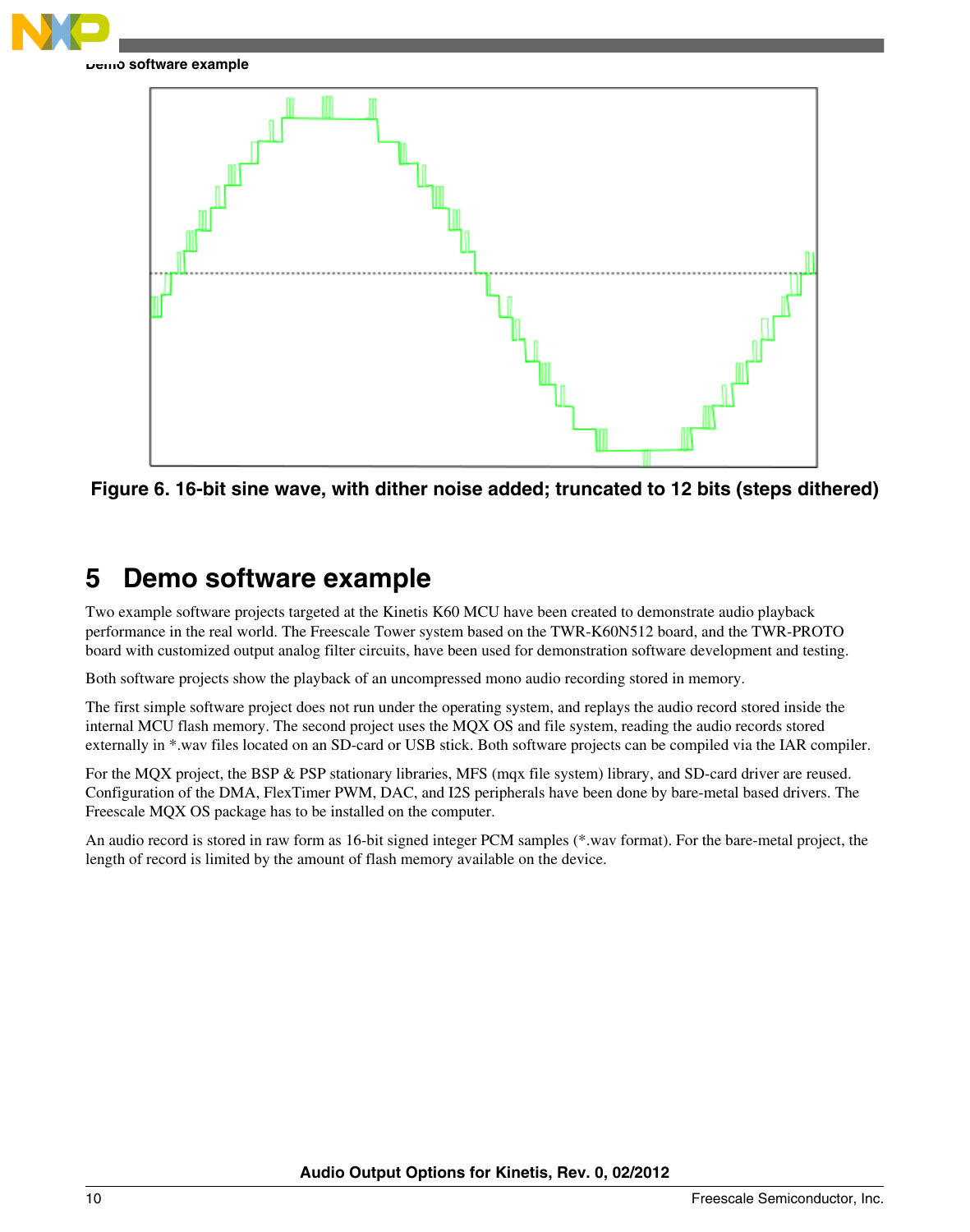<span id="page-9-0"></span>

#### **Demo software example**



**Figure 6. 16-bit sine wave, with dither noise added; truncated to 12 bits (steps dithered)**

# **5 Demo software example**

Two example software projects targeted at the Kinetis K60 MCU have been created to demonstrate audio playback performance in the real world. The Freescale Tower system based on the TWR-K60N512 board, and the TWR-PROTO board with customized output analog filter circuits, have been used for demonstration software development and testing.

Both software projects show the playback of an uncompressed mono audio recording stored in memory.

The first simple software project does not run under the operating system, and replays the audio record stored inside the internal MCU flash memory. The second project uses the MQX OS and file system, reading the audio records stored externally in \*.wav files located on an SD-card or USB stick. Both software projects can be compiled via the IAR compiler.

For the MQX project, the BSP & PSP stationary libraries, MFS (mqx file system) library, and SD-card driver are reused. Configuration of the DMA, FlexTimer PWM, DAC, and I2S peripherals have been done by bare-metal based drivers. The Freescale MQX OS package has to be installed on the computer.

An audio record is stored in raw form as 16-bit signed integer PCM samples (\*.wav format). For the bare-metal project, the length of record is limited by the amount of flash memory available on the device.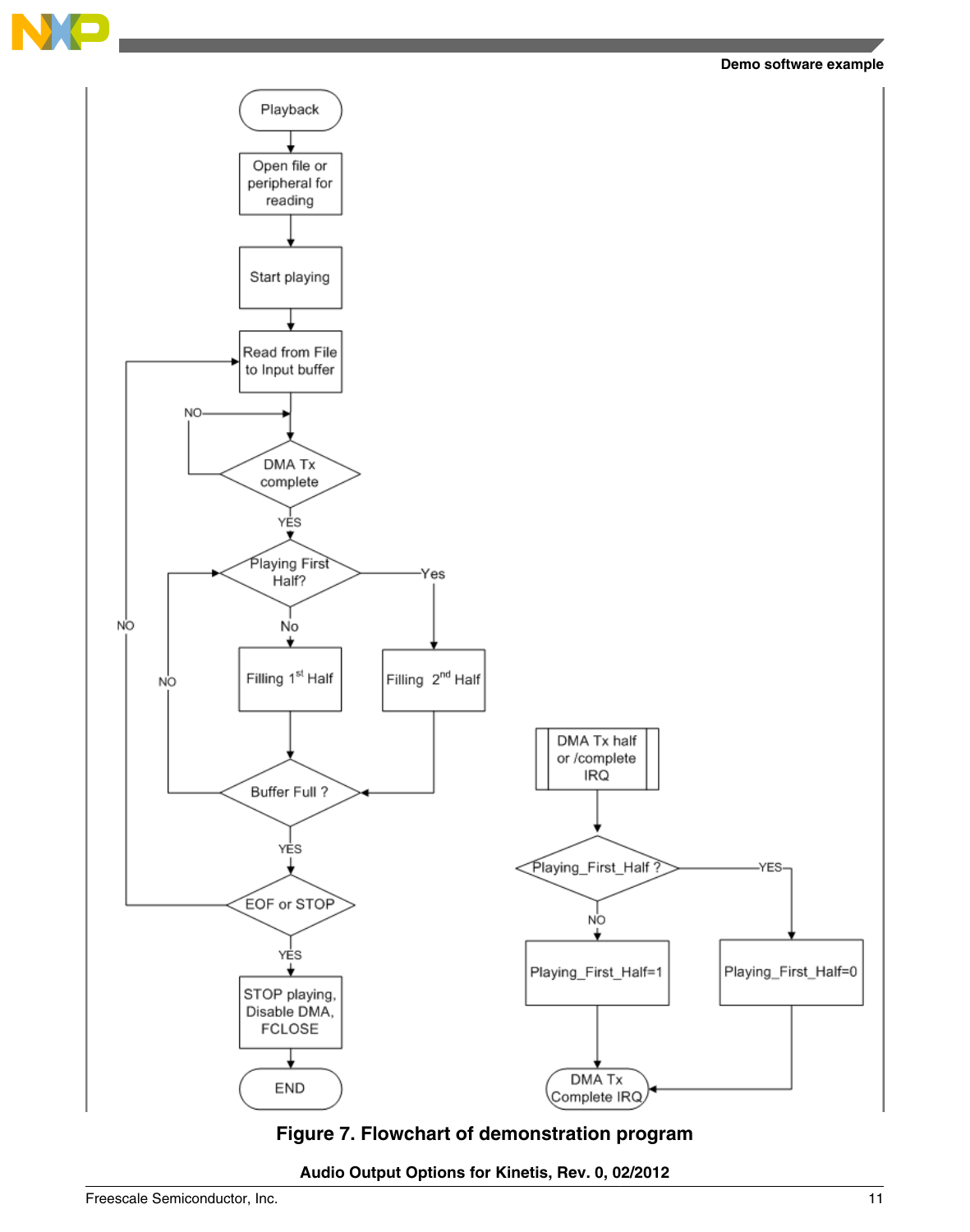

#### **Demo software example**



**Figure 7. Flowchart of demonstration program**

**Audio Output Options for Kinetis, Rev. 0, 02/2012**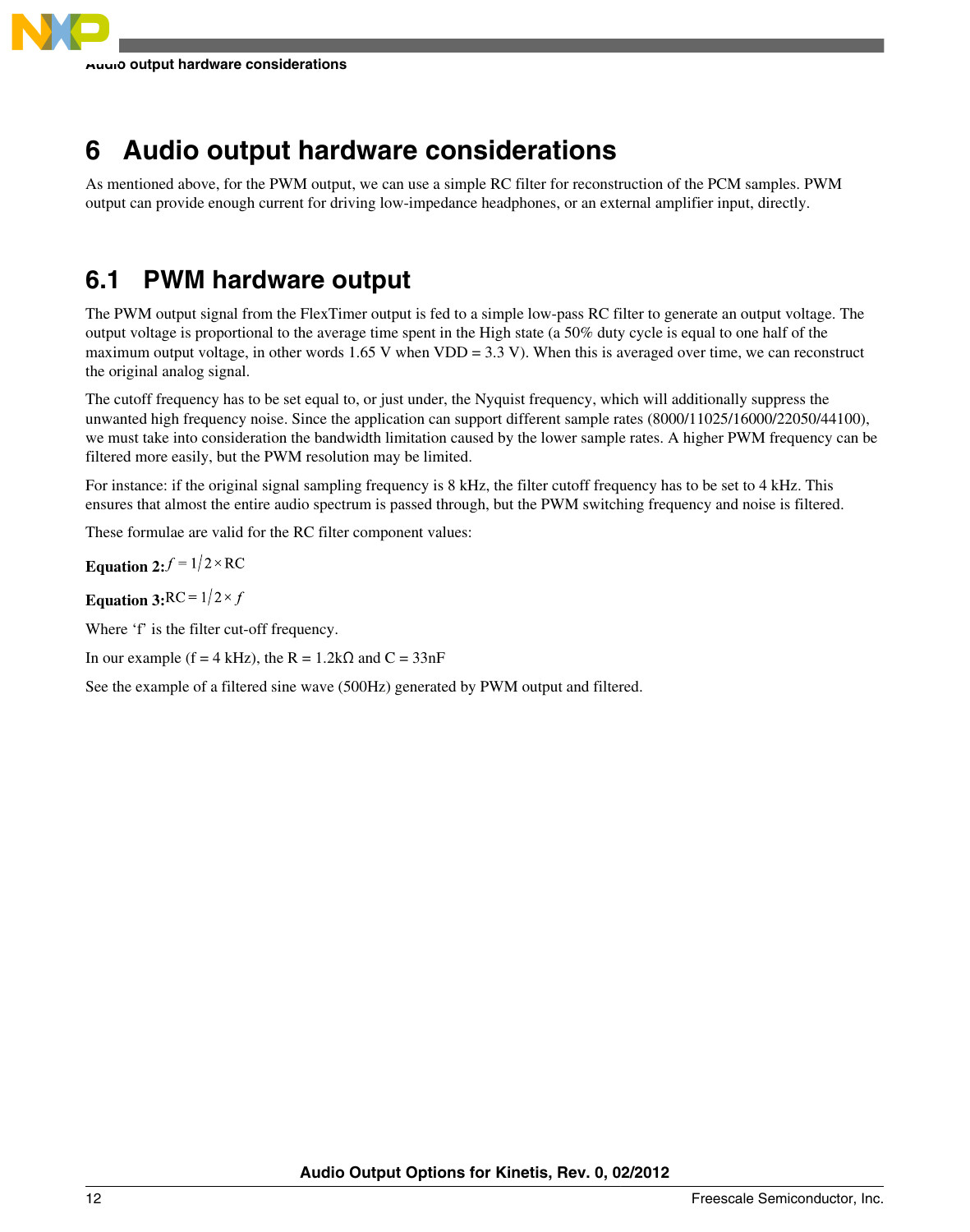# <span id="page-11-0"></span>**6 Audio output hardware considerations**

As mentioned above, for the PWM output, we can use a simple RC filter for reconstruction of the PCM samples. PWM output can provide enough current for driving low-impedance headphones, or an external amplifier input, directly.

# **6.1 PWM hardware output**

The PWM output signal from the FlexTimer output is fed to a simple low-pass RC filter to generate an output voltage. The output voltage is proportional to the average time spent in the High state (a 50% duty cycle is equal to one half of the maximum output voltage, in other words  $1.65$  V when VDD = 3.3 V). When this is averaged over time, we can reconstruct the original analog signal.

The cutoff frequency has to be set equal to, or just under, the Nyquist frequency, which will additionally suppress the unwanted high frequency noise. Since the application can support different sample rates (8000/11025/16000/22050/44100), we must take into consideration the bandwidth limitation caused by the lower sample rates. A higher PWM frequency can be filtered more easily, but the PWM resolution may be limited.

For instance: if the original signal sampling frequency is 8 kHz, the filter cutoff frequency has to be set to 4 kHz. This ensures that almost the entire audio spectrum is passed through, but the PWM switching frequency and noise is filtered.

These formulae are valid for the RC filter component values:

**Equation 2:**  $f = 1/2 \times RC$ 

**Equation 3:**RC =  $1/2 \times f$ 

Where 'f' is the filter cut-off frequency.

In our example (f = 4 kHz), the R =  $1.2$ k $\Omega$  and C =  $33$ nF

See the example of a filtered sine wave (500Hz) generated by PWM output and filtered.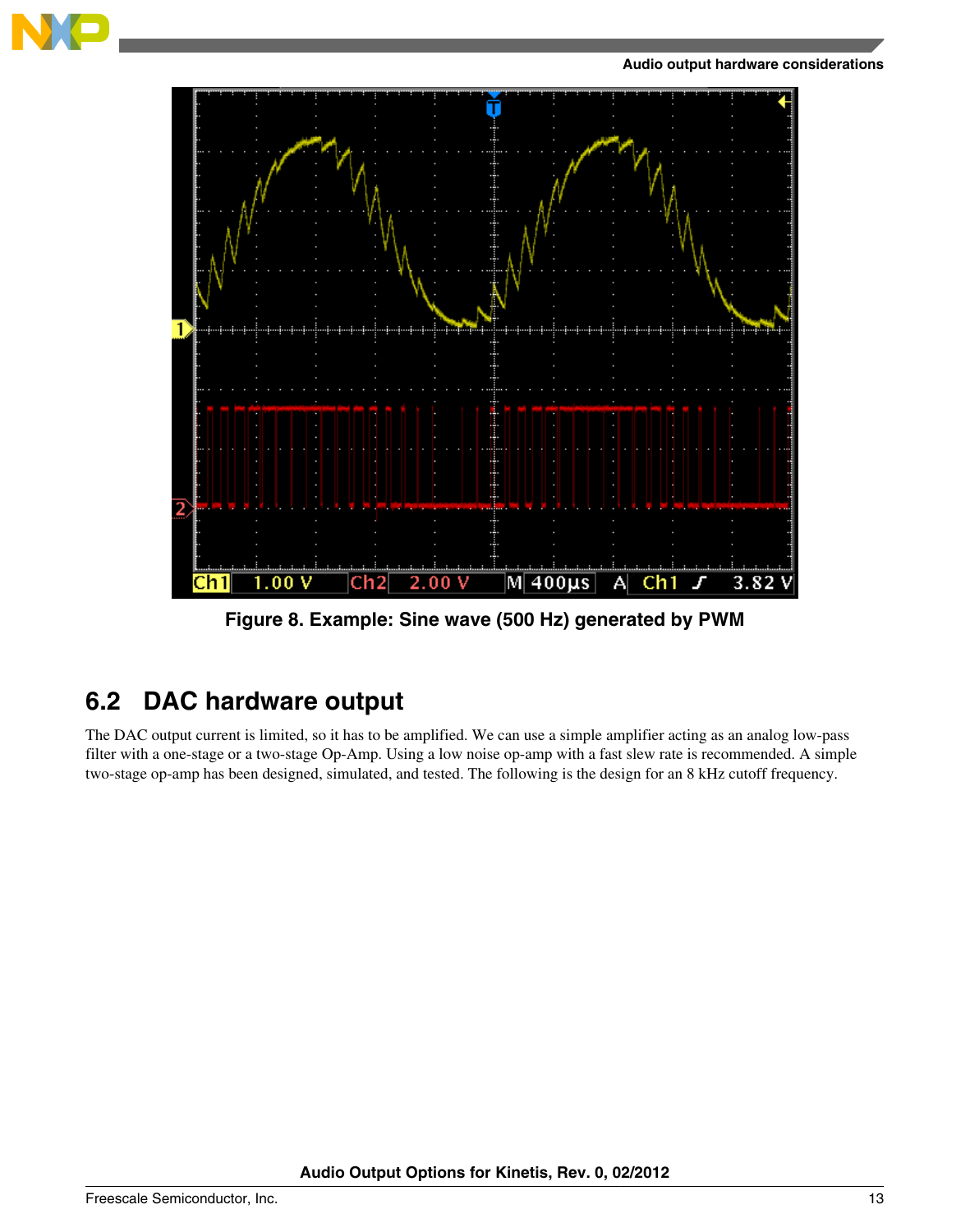



**Figure 8. Example: Sine wave (500 Hz) generated by PWM**

# **6.2 DAC hardware output**

The DAC output current is limited, so it has to be amplified. We can use a simple amplifier acting as an analog low-pass filter with a one-stage or a two-stage Op-Amp. Using a low noise op-amp with a fast slew rate is recommended. A simple two-stage op-amp has been designed, simulated, and tested. The following is the design for an 8 kHz cutoff frequency.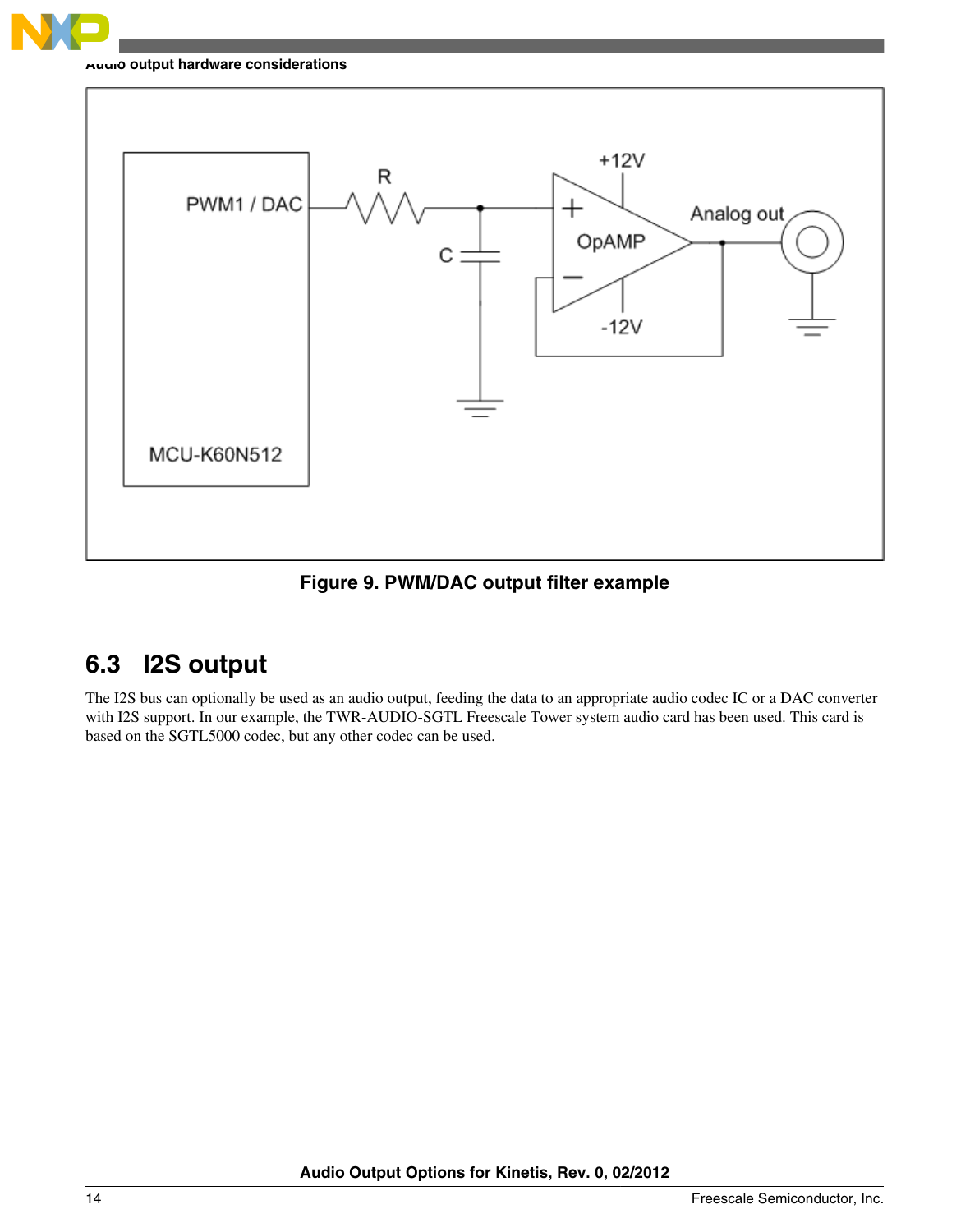

#### **Audio output hardware considerations**



**Figure 9. PWM/DAC output filter example**

### **6.3 I2S output**

The I2S bus can optionally be used as an audio output, feeding the data to an appropriate audio codec IC or a DAC converter with I2S support. In our example, the TWR-AUDIO-SGTL Freescale Tower system audio card has been used. This card is based on the SGTL5000 codec, but any other codec can be used.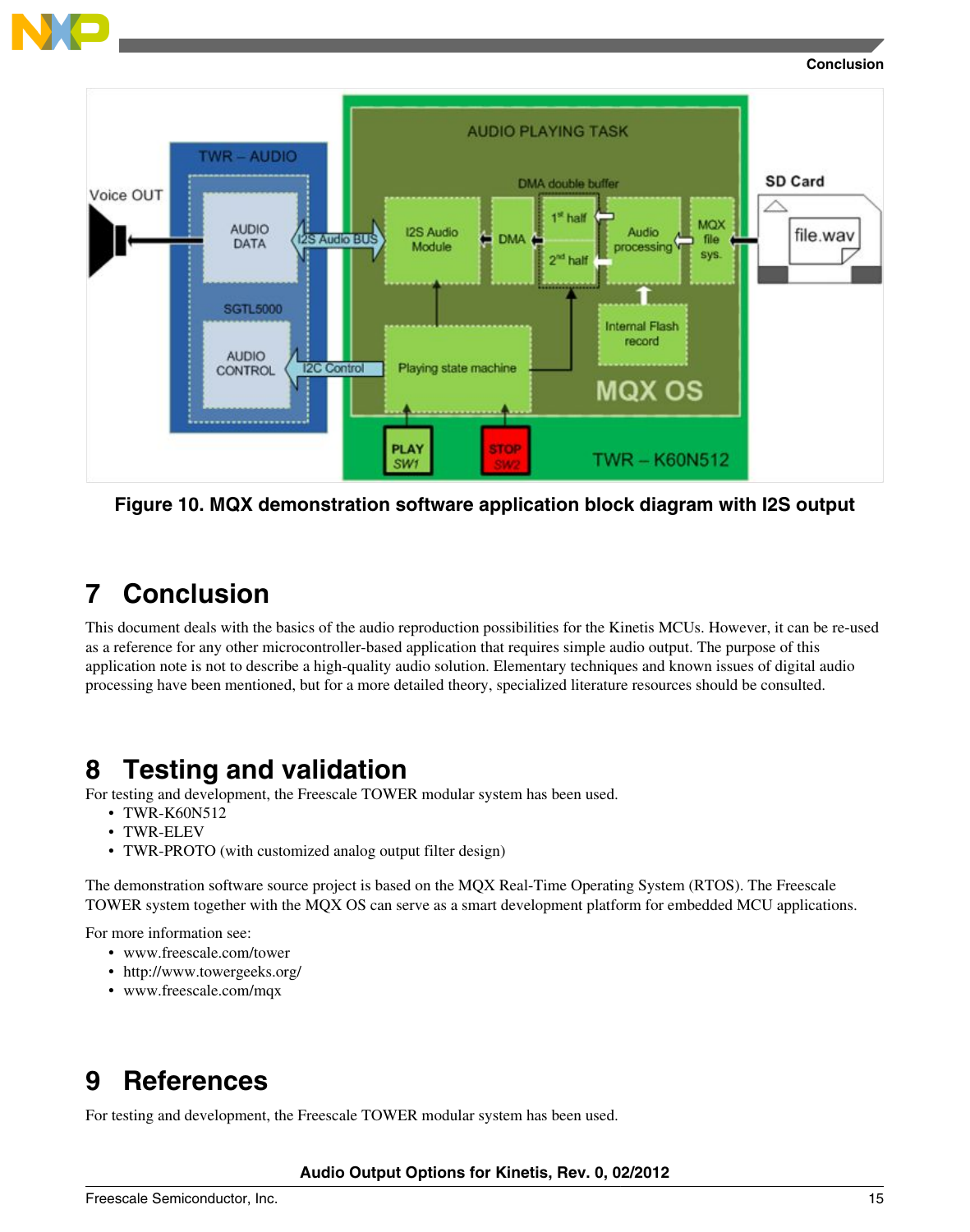<span id="page-14-0"></span>

#### **Conclusion**



**Figure 10. MQX demonstration software application block diagram with I2S output**

# **7 Conclusion**

This document deals with the basics of the audio reproduction possibilities for the Kinetis MCUs. However, it can be re-used as a reference for any other microcontroller-based application that requires simple audio output. The purpose of this application note is not to describe a high-quality audio solution. Elementary techniques and known issues of digital audio processing have been mentioned, but for a more detailed theory, specialized literature resources should be consulted.

# **8 Testing and validation**

For testing and development, the Freescale TOWER modular system has been used.

- TWR-K60N512
- TWR-ELEV
- TWR-PROTO (with customized analog output filter design)

The demonstration software source project is based on the MQX Real-Time Operating System (RTOS). The Freescale TOWER system together with the MQX OS can serve as a smart development platform for embedded MCU applications.

For more information see:

- www.freescale.com/tower
- http://www.towergeeks.org/
- www.freescale.com/mqx

# **9 References**

For testing and development, the Freescale TOWER modular system has been used.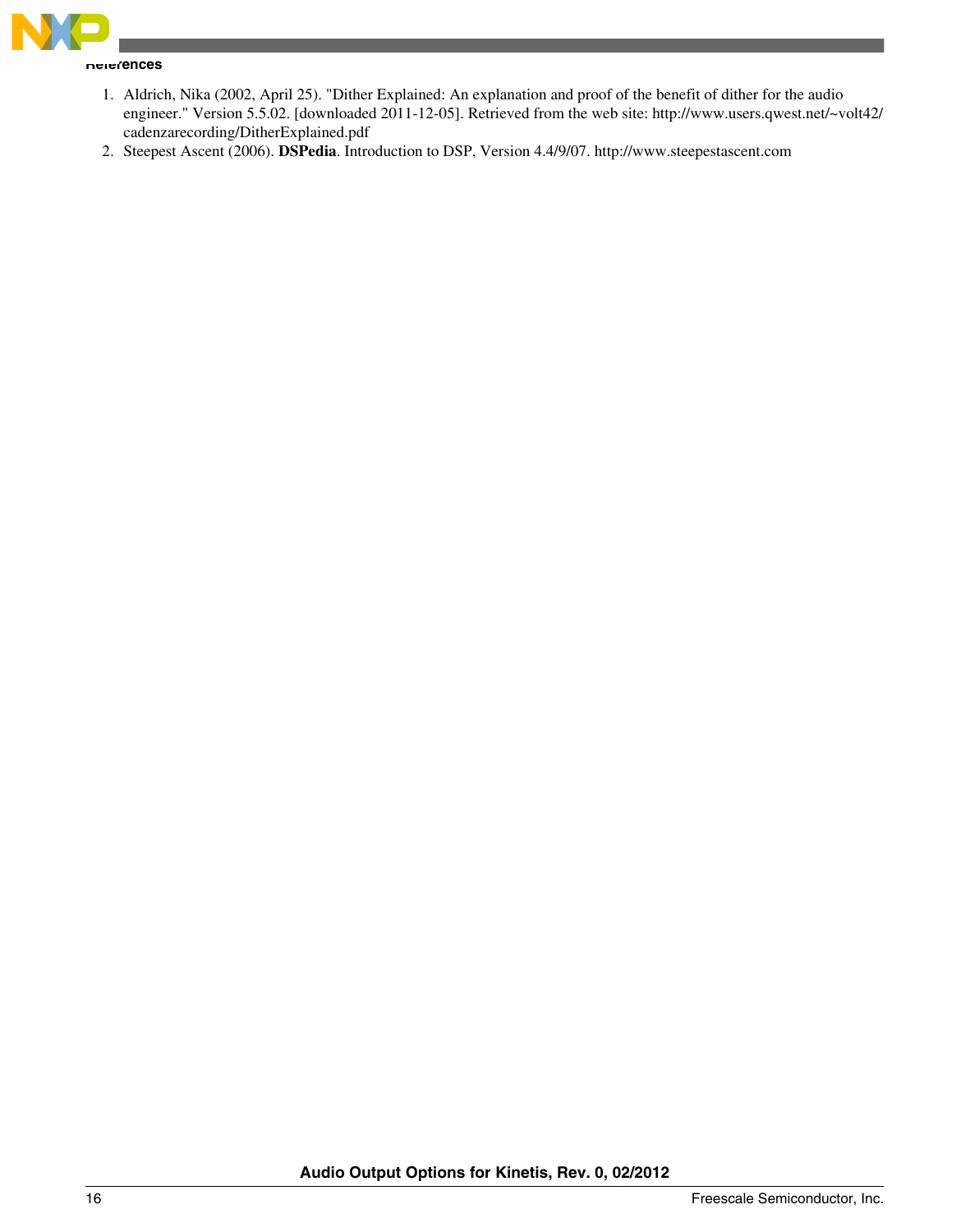

**References**

- 1. Aldrich, Nika (2002, April 25). "Dither Explained: An explanation and proof of the benefit of dither for the audio engineer." Version 5.5.02. [downloaded 2011-12-05]. Retrieved from the web site: http://www.users.qwest.net/~volt42/ cadenzarecording/DitherExplained.pdf
- 2. Steepest Ascent (2006). **DSPedia**. Introduction to DSP, Version 4.4/9/07. http://www.steepestascent.com